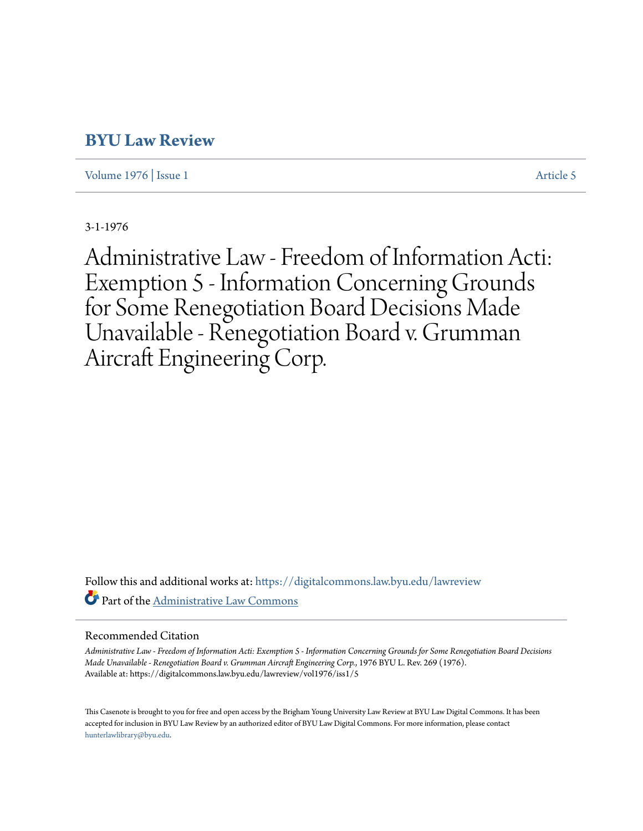# **[BYU Law Review](https://digitalcommons.law.byu.edu/lawreview?utm_source=digitalcommons.law.byu.edu%2Flawreview%2Fvol1976%2Fiss1%2F5&utm_medium=PDF&utm_campaign=PDFCoverPages)**

[Volume 1976](https://digitalcommons.law.byu.edu/lawreview/vol1976?utm_source=digitalcommons.law.byu.edu%2Flawreview%2Fvol1976%2Fiss1%2F5&utm_medium=PDF&utm_campaign=PDFCoverPages) | [Issue 1](https://digitalcommons.law.byu.edu/lawreview/vol1976/iss1?utm_source=digitalcommons.law.byu.edu%2Flawreview%2Fvol1976%2Fiss1%2F5&utm_medium=PDF&utm_campaign=PDFCoverPages) [Article 5](https://digitalcommons.law.byu.edu/lawreview/vol1976/iss1/5?utm_source=digitalcommons.law.byu.edu%2Flawreview%2Fvol1976%2Fiss1%2F5&utm_medium=PDF&utm_campaign=PDFCoverPages)

3-1-1976

Administrative Law - Freedom of Information Acti: Exemption 5 - Information Concerning Grounds for Some Renegotiation Board Decisions Made Unavailable - Renegotiation Board v. Grumman Aircraft Engineering Corp.

Follow this and additional works at: [https://digitalcommons.law.byu.edu/lawreview](https://digitalcommons.law.byu.edu/lawreview?utm_source=digitalcommons.law.byu.edu%2Flawreview%2Fvol1976%2Fiss1%2F5&utm_medium=PDF&utm_campaign=PDFCoverPages) Part of the [Administrative Law Commons](http://network.bepress.com/hgg/discipline/579?utm_source=digitalcommons.law.byu.edu%2Flawreview%2Fvol1976%2Fiss1%2F5&utm_medium=PDF&utm_campaign=PDFCoverPages)

# Recommended Citation

*Administrative Law - Freedom of Information Acti: Exemption 5 - Information Concerning Grounds for Some Renegotiation Board Decisions Made Unavailable - Renegotiation Board v. Grumman Aircraft Engineering Corp.*, 1976 BYU L. Rev. 269 (1976). Available at: https://digitalcommons.law.byu.edu/lawreview/vol1976/iss1/5

This Casenote is brought to you for free and open access by the Brigham Young University Law Review at BYU Law Digital Commons. It has been accepted for inclusion in BYU Law Review by an authorized editor of BYU Law Digital Commons. For more information, please contact [hunterlawlibrary@byu.edu.](mailto:hunterlawlibrary@byu.edu)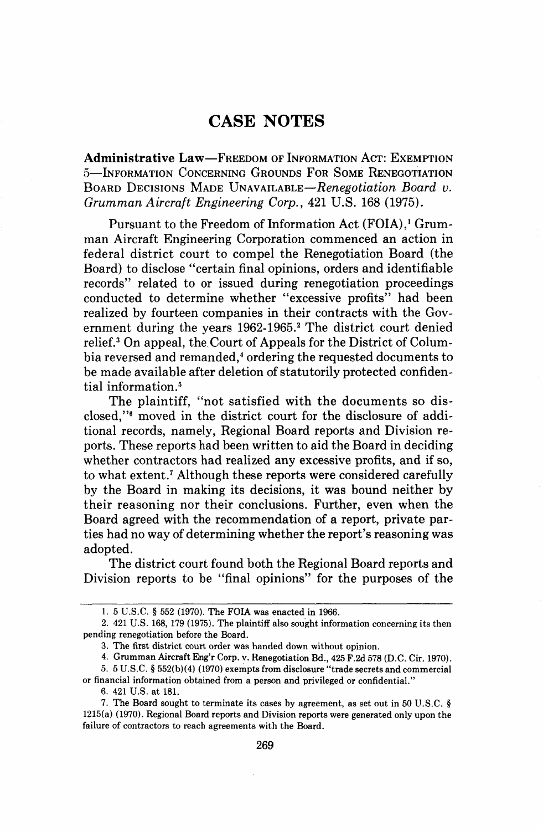# **CASE NOTES**

Administrative Law-FREEDOM OF INFORMATION ACT: EXEMPTION 5-INFORMATION CONCERNING GROUNDS FOR SOME RENEGOTIATION BOARD DECISIONS MADE **UNAVAILABLE-Renegotiation** Board **v.**  Grumman Aircraft Engineering Corp., 421 U.S. 168 (1975).

Pursuant to the Freedom of Information Act (FOIA),' Grumman Aircraft Engineering Corporation commenced an action in federal district court to compel the Renegotiation Board (the Board) to disclose "certain final opinions, orders and identifiable records" related to or issued during renegotiation proceedings conducted to determine whether "excessive profits" had been realized by fourteen companies in their contracts with the Government during the years 1962-1965.<sup>2</sup> The district court denied relief? On appeal, the.Court of Appeals for the District of Columbia reversed and remanded,<sup>4</sup> ordering the requested documents to be made available after deletion of statutorily protected confidential information.<sup>5</sup>

The plaintiff, "not satisfied with the documents so disclosed,"<sup>6</sup> moved in the district court for the disclosure of additional records, namely, Regional Board reports and Division reports. These reports had been written to aid the Board in deciding whether contractors had realized any excessive profits, and if so, to what extent.<sup>7</sup> Although these reports were considered carefully by the Board in making its decisions, it was bound neither by their reasoning nor their conclusions. Further, even when the Board agreed with the recommendation of a report, private parties had no way of determining whether the report's reasoning was adopted.

The district court found both the Regional Board reports and Division reports to be "final opinions" for the purposes of the

or financial information obtained from a person and privileged or confidential."

6. 421 US. at 181.

<sup>1. 5</sup> U.S.C. **9** 552 (1970). The FOIA was enacted in 1966.

<sup>2. 421</sup> U.S. 168, 179 (1975). The plaintiff also sought information concerning its then pending renegotiation before the Board.

<sup>3.</sup> The first district court order was handed down without opinion.

<sup>4.</sup> Grumman Aircraft Eng'r Corp. **v.** Renegotiation Bd., 425 **F.2d** 578 (D.C. Cir. 1970).

<sup>5. 5</sup> U.S.C. **9** 552(b)(4) (1970) exempts from disclosure "trade secrets and commercial

<sup>7.</sup> The Board sought to terminate its cases by agreement, as set out in 50 U.S.C. **9**  1215(a) (1970). Regional Board reports and Division reports were generated only upon the failure of contractors to reach agreements with the Board.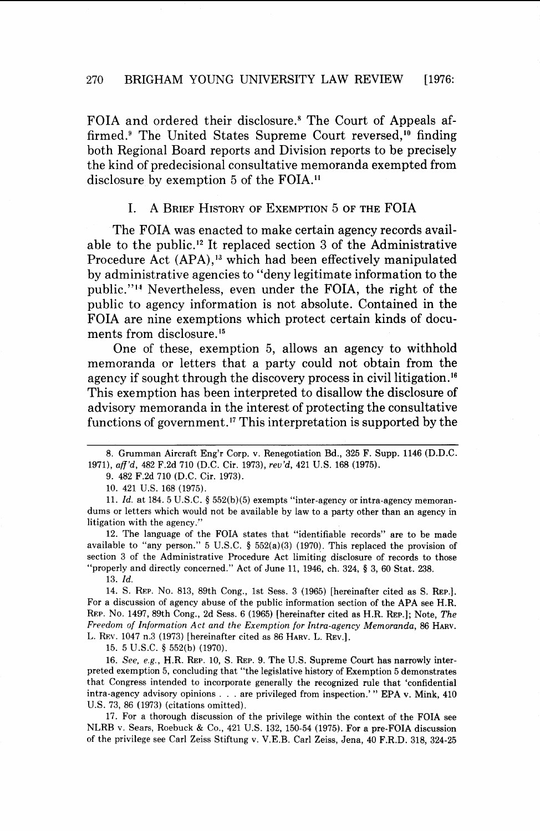FOIA and ordered their disclosure.<sup>8</sup> The Court of Appeals affirmed.<sup>9</sup> The United States Supreme Court reversed,<sup>10</sup> finding both Regional Board reports and Division reports to be precisely the kind of predecisional consultative memoranda exempted from disclosure by exemption 5 of the FOIA.<sup>11</sup>

## I. A BRIEF HISTORY OF EXEMPTION 5 OF THE FOIA

The FOIA was enacted to make certain agency records available to the public.I2 It replaced section **3** of the Administrative Procedure Act (APA),<sup>13</sup> which had been effectively manipulated by administrative agencies to "deny legitimate information to the public."14 Nevertheless, even under the FOIA, the right of the public to agency information is not absolute. Contained in the FOIA are nine exemptions which protect certain kinds of documents from disclosure.<sup>15</sup>

One of these, exemption *5,* allows an agency to withhold memoranda or letters that a party could not obtain from the agency if sought through the discovery process in civil litigation.<sup>16</sup> This exemption has been interpreted to disallow the disclosure of advisory memoranda in the interest of protecting the consultative functions of government." This interpretation is supported by the

9. 482 F.2d 710 (D.C. Cir. 1973).

10. 421 U.S. 168 (1975).

11. Id. at 184. 5 U.S.C. § 552(b)(5) exempts "inter-agency or intra-agency memorandums or letters which would not be available by law to a party other than an agency in litigation with the agency."

12. The language of the FOIA states that "identifiable records" are to be made available to "any person." 5 U.S.C. § 552(a)(3) (1970). This replaced the provision of section 3 of the Administrative Procedure Act limiting disclosure of records to those "properly and directly concerned." Act of June 11, 1946, ch. 324, § 3, 60 Stat. 238.

13. Id.

14. S. REP. NO. 813, 89th Cong., 1st Sess. 3 (1965) [hereinafter cited as S. REP.]. For a discussion of agency abuse of the public information section of the APA see H.R. REP. NO. 1497, 89th Cong., 2d Sess. 6 (1965) [hereinafter cited as H.R. REP.]; Note, The Freedom of Information Act and the Exemption for Intra-agency Memoranda, 86 HARV. L. REV. 1047 n.3 (1973) [hereinafter cited as 86 HARV. L. REV.].

15. 5 U.S.C. **4** 552(b) (1970).

16. See, e.g., H.R. REP. 10, S. REP. 9. The U.S. Supreme Court has narrowly interpreted exemption 5, concluding that "the legislative history of Exemption 5 demonstrates that Congress intended to incorporate generally the recognized rule that 'confidential intra-agency advisory opinions . . . are privileged from inspection.' " EPA **v.** Mink, 410 U.S. 73, 86 (1973) (citations omitted).

17. For a thorough discussion of the privilege within the context of the FOIA see NLRB v. Sears, Roebuck & Co., 421 U.S. 132, 150-54 (1975). For a pre-FOIA discussion of the privilege see Carl Zeiss Stiftung v. V.E.B. Carl Zeiss, Jena, 40 F.R.D. 318, 324-25

<sup>8.</sup> Grumman Aircraft Eng'r Corp. v. Renegotiation Bd., 325 **B.** Supp. 1146 (D.D.C. 1971), aff'd, 482 F.2d 710 (D.C. Cir. 1973), reu'd, 421 U.S. 168 (1975).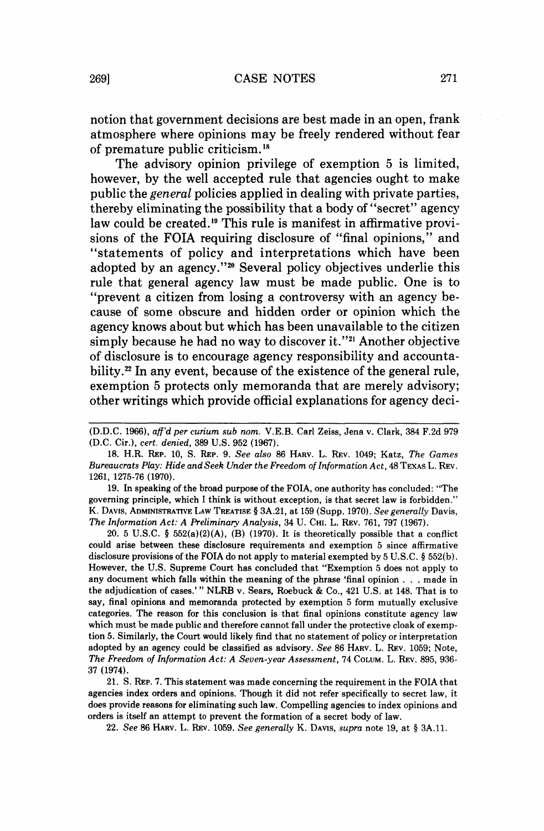notion that government decisions are best made in an open, frank atmosphere where opinions may be freely rendered without fear of premature public criticism.<sup>18</sup>

The advisory opinion privilege of exemption **5** is limited, however, by the well accepted rule that agencies ought to make public the *general* policies applied in dealing with private parties, thereby eliminating the possibility that a body of "secret" agency law could be created.<sup>19</sup> This rule is manifest in affirmative provisions of the FOIA requiring disclosure of "final opinions," and "statements of policy and interpretations which have been adopted by an agency."20 Several policy objectives underlie this rule that general agency law must be made public. One is to "prevent a citizen from losing a controversy with an agency because of some obscure and hidden order or opinion which the agency knows about but which has been unavailable to the citizen simply because he had no way to discover it."<sup>21</sup> Another objective of disclosure is to encourage agency responsibility and accountability.<sup>22</sup> In any event, because of the existence of the general rule, exemption 5 protects only memoranda that are merely advisory; other writings which provide official explanations for agency deci-

19. In speaking of the broad purpose of the FOIA, one authority has concluded: "The governing principle, which I think is without exception, is that secret law is forbidden." K. DAVIS, ADMINISTRATIVE LAW TREATISE § 3A.21, at 159 (Supp. 1970). See generally Davis, The Information Act: A Preliminary Analysis, 34 U. CHI. L. REV. 761, 797 (1967).

20. 5 U.S.C. **4** 552(a)(2)(A), **(B)** (1970). It is theoretically possible that a conflict could arise between these disclosure requirements and exemption 5 since affirmative disclosure provisions of the FOIA do not apply to material exempted by 5 U.S.C. **5** 552(b). However, the U.S. Supreme Court has concluded that "Exemption 5 does not apply to any document which falls within the meaning of the phrase 'final opinion . . . made in the adjudication of cases.' " NLRB v. Sears, Roebuck & Co., 421 U.S. at 148. That is to say, final opinions and memoranda protected by exemption 5 form mutually exclusive categories. The reason for this conclusion is that final opinions constitute agency law which must be made public and therefore cannot fall under the protective cloak of exemption 5. Similarly, the Court would likely find that no statement of policy or interpretation adopted by an agency could be classified as advisory. See 86 HARV. L. REV. 1059; Note, The Freedom of Information Act: A Seven-year Assessment, 74 COLUM. L. REV. 895, 936- 37 (1974).

21. S. REP. 7. This statement was made concerning the requirement in the FOIA that agencies index orders and opinions. Though it did not refer specifically to secret law, it does provide reasons for eliminating such law. Compelling agencies to index opinions and orders is itself an attempt to prevent the formation of a secret body of law.

22. See 86 HARV. L. REV. 1059. See generally K. DAVIS, supra note 19, at **5** 3A.11.

<sup>(</sup>D.D.C. 1966), aff'd per curium sub nom. V.E.B. Carl Zeiss, Jena v. Clark, 384 F.2d 979 (D.C. Cir.), cert. denied, 389 U.S. 952 (1967).

<sup>18.</sup> H.R. REP. 10, S. REP. 9. See also 86 HARV. L. REV. 1049; Katz, The Games Bureaucrats Play: Hide and Seek Under the Freedom of Information Act, 48 TEXAS L. REV. 1261, 1275-76 (1970).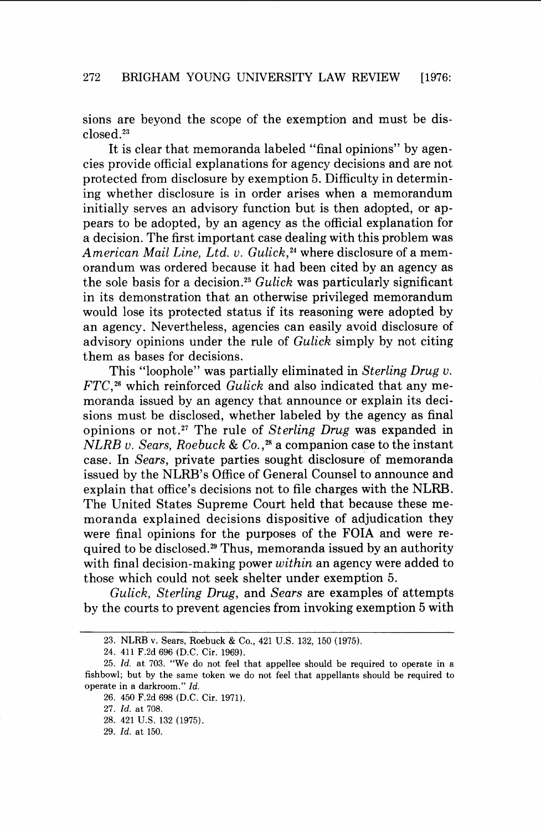sions are beyond the scope of the exemption and must be disclosed.23

It is clear that memoranda labeled "final opinions" by agencies provide official explanations for agency decisions and are not protected from disclosure by exemption *5.* Difficulty in determining whether disclosure is in order arises when a memorandum initially serves an advisory function but is then adopted, or appears to be adopted, by an agency as the official explanation for a decision. The first important case dealing with this problem was American Mail Line, Ltd. v. Gulick, $24$  where disclosure of a memorandum was ordered because it had been cited by an agency as the sole basis for a decision.<sup>25</sup> Gulick was particularly significant in its demonstration that an otherwise privileged memorandum would lose its protected status if its reasoning were adopted by an agency. Nevertheless, agencies can easily avoid disclosure of advisory opinions under the rule of Gulick simply by not citing them as bases for decisions.

This "loophole" was partially eliminated in Sterling Drug v.  $FTC<sup>26</sup>$  which reinforced Gulick and also indicated that any memoranda issued by an agency that announce or explain its decisions must be disclosed, whether labeled by the agency as final opinions or not.<sup>27</sup> The rule of Sterling Drug was expanded in  $NLRB$  v. Sears, Roebuck & Co.,<sup>28</sup> a companion case to the instant case. In Sears, private parties sought disclosure of memoranda issued by the NLRB's Office of General Counsel to announce and explain that office's decisions not to file charges with the NLRB. The United States Supreme Court held that because these memoranda explained decisions dispositive of adjudication they were final opinions for the purposes of the FOIA and were required to be disclosed.<sup>29</sup> Thus, memoranda issued by an authority with final decision-making power within an agency were added to those which could not seek shelter under exemption *5.* 

Gulick, Sterling Drug, and Sears are examples of attempts by the courts to prevent agencies from invoking exemption *5* with

<sup>23.</sup> NLRB v. Sears, Roebuck & Co., 421 U.S. 132, 150 (1975).

<sup>24. 411</sup> F.2d 696 (D.C. Cir. 1969).

<sup>25.</sup> *Id.* at 703. "We do not feel that appellee should be required to operate in a fishbowl; but by the same token we do not feel that appellants should be required to operate in a darkroom." *Id.* 

<sup>26. 450</sup> F.2d 698 (D.C. Cir. 1971).

<sup>27.</sup> *Id.* at 708.

<sup>28. 421</sup> U.S. 132 (1975).

<sup>29.</sup> *Id.* at 150.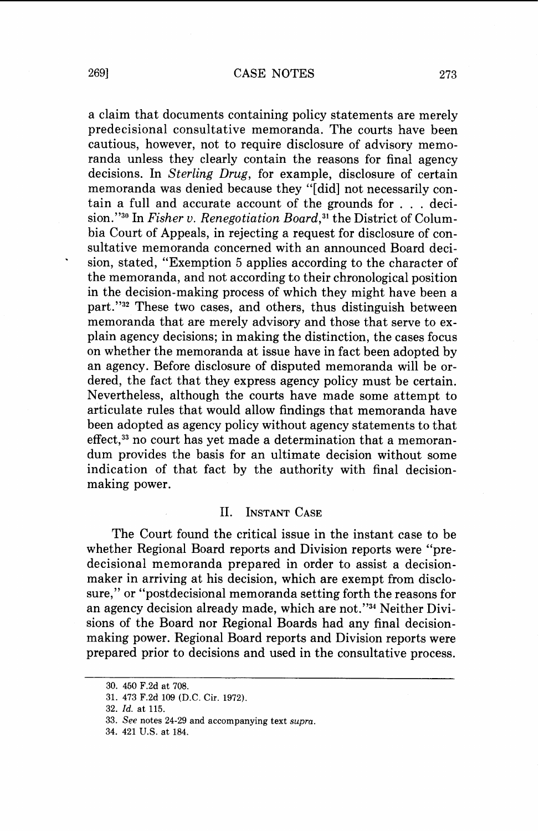a claim that documents containing policy statements are merely predecisional consultative memoranda. The courts have been cautious, however, not to require disclosure of advisory memoranda unless they clearly contain the reasons for final agency decisions. In Sterling Drug, for example, disclosure of certain memoranda was denied because they "[did] not necessarily contain a full and accurate account of the grounds for . . . deci-  $\sin N^{30}$  In Fisher v. Renegotiation Board,<sup>31</sup> the District of Columbia Court of Appeals, in rejecting a request for disclosure of consultative memoranda concerned with an announced Board decision, stated, "Exemption 5 applies according to the character of the memoranda, and not according to their chronological position in the decision-making process of which they might have been a part."32 These two cases, and others, thus distinguish between memoranda that are merely advisory and those that serve to explain agency decisions; in making the distinction, the cases focus on whether the memoranda at issue have in fact been adopted by an agency. Before disclosure of disputed memoranda will be ordered, the fact that they express agency policy must be certain. Nevertheless, although the courts have made some attempt to articulate rules that would allow findings that memoranda have been adopted as agency policy without agency statements to that effect,<sup>33</sup> no court has yet made a determination that a memorandum provides the basis for an ultimate decision without some indication of that fact by the authority with final decisionmaking power.

#### **II. INSTANT CASE**

The Court found the critical issue in the instant case to be whether Regional Board reports and Division reports were "predecisional memoranda prepared in order to assist a decisionmaker in arriving at his decision, which are exempt from disclosure," or "postdecisional memoranda setting forth the reasons for an agency decision already made, which are not."<sup>34</sup> Neither Divisions of the Board nor Regional Boards had any final decisionmaking power. Regional Board reports and Division reports were prepared prior to decisions and used in the consultative process.

**<sup>30. 450</sup> F.2d at 708.** 

**<sup>31. 473</sup> F.2d 109 (D.C. Cir. 1972).** 

**<sup>32.</sup> Id. at 115.** 

**<sup>33.</sup> See notes 24-29 and accompanying text supra.** 

**<sup>34. 421</sup> U.S. at 184.**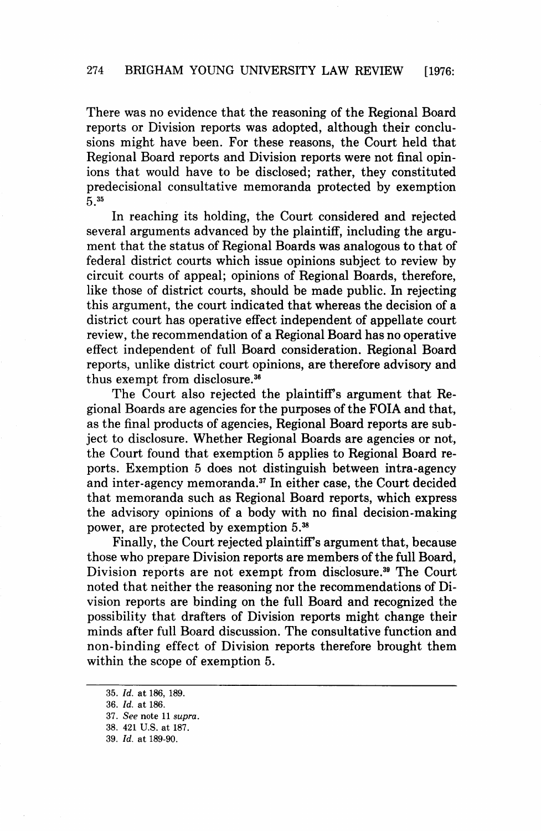There was no evidence that the reasoning of the Regional Board reports or Division reports was adopted, although their conclusions might have been. For these reasons, the Court held that Regional Board reports and Division reports were not final opinions that would have to be disclosed; rather, they constituted predecisional consultative memoranda protected by exemption  $535$ 

In reaching its holding, the Court considered and rejected several arguments advanced by the plaintiff, including the argument that the status of Regional Boards was analogous to that of federal district courts which issue opinions subject to review by circuit courts of appeal; opinions of Regional Boards, therefore, like those of district courts, should be made public. In rejecting this argument, the court indicated that whereas the decision of a district court has operative effect independent of appellate court review, the recommendation of a Regional Board has no operative effect independent of full Board consideration. Regional Board reports, unlike district court opinions, are therefore advisory and thus exempt from disclosure. $36$ 

The Court also rejected the plaintiff's argument that Regional Boards are agencies for the purposes of the FOIA and that, as the final products of agencies, Regional Board reports are subject to disclosure. Whether Regional Boards are agencies or not, the Court found that exemption 5 applies to Regional Board reports. Exemption **5** does not distinguish between intra-agency and inter-agency memoranda.<sup>37</sup> In either case, the Court decided that memoranda such as Regional Board reports, which express the advisory opinions of a body with no final decision-making power, are protected by exemption  $5.^{38}$ 

Finally, the Court rejected plaintiff's argument that, because those who prepare Division reports are members of the full Board, Division reports are not exempt from disclosure.<sup>39</sup> The Court noted that neither the reasoning nor the recommendations of Division reports are binding on the full Board and recognized the possibility that drafters of Division reports might change their minds after full Board discussion. The consultative function and non-binding effect of Division reports therefore brought them within the scope of exemption 5.

**<sup>35.</sup>** *Id.* **at 186, 189.** 

**<sup>36.</sup>** *Id.* **at 186.** 

**<sup>37.</sup>** See **note 11 supra.** 

**<sup>38. 421</sup>** US. **at 187.** 

**<sup>39.</sup>** *Id.* **at 189-90.**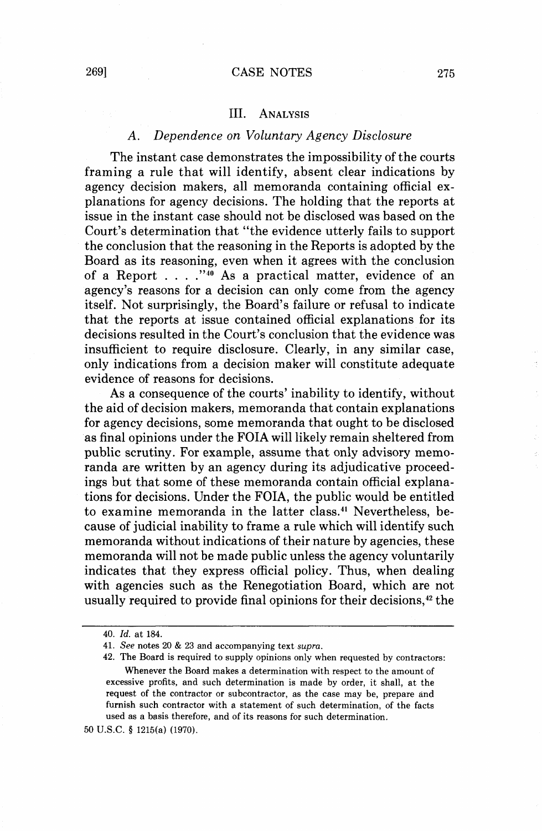#### III. **ANALYSIS**

# *A. Dependence on Voluntary Agency Disclosure*

The instant case demonstrates the impossibility of the courts framing a rule that will identify, absent clear indications by agency decision makers, all memoranda containing official explanations for agency decisions. The holding that the reports at issue in the instant case should not be disclosed was based on the Court's determination that "the evidence utterly fails to support the conclusion that the reasoning in the Reports is adopted by the Board as its reasoning, even when it agrees with the conclusion of a Report . . . ."40 AS a practical matter, evidence of an agency's reasons for a decision can only come from the agency itself. Not surprisingly, the Board's failure or refusal to indicate that the reports at issue contained official explanations for its decisions resulted in the Court's conclusion that the evidence was insufficient to require disclosure. Clearly, in any similar case, only indications from a decision maker will constitute adequate evidence of reasons for decisions.

As a consequence of the courts' inability to identify, without the aid of decision makers, memoranda that contain explanations for agency decisions, some memoranda that ought to be disclosed as final opinions under the FOIA will likely remain sheltered from public scrutiny. For example, assume that only advisory memoranda are written by an agency during its adjudicative proceedings but that some of these memoranda contain official explanations for decisions. Under the FOIA, the public would be entitled to examine memoranda in the latter class.41 Nevertheless, because of judicial inability to frame a rule which will identify such memoranda without indications of their nature by agencies, these memoranda will not be made public unless the agency voluntarily indicates that they express official policy. Thus, when dealing with agencies such as the Renegotiation Board, which are not usually required to provide final opinions for their decisions,<sup>42</sup> the

<sup>40.</sup> Id. at 184.

<sup>41.</sup> See notes 20 & 23 and accompanying text *supra.* 

<sup>42.</sup> The Board is required to supply opinions only when requested by contractors: Whenever the Board makes a determination with respect to the amount of excessive profits, and such determination is made by order, it shall, at the request of the contractor or subcontractor, as the case may be, prepare and furnish such contractor with a statement of such determination, of the facts used as a basis therefore, and of its reasons for such determination.

<sup>50</sup> U.S.C. \$ 1215(a) (1970).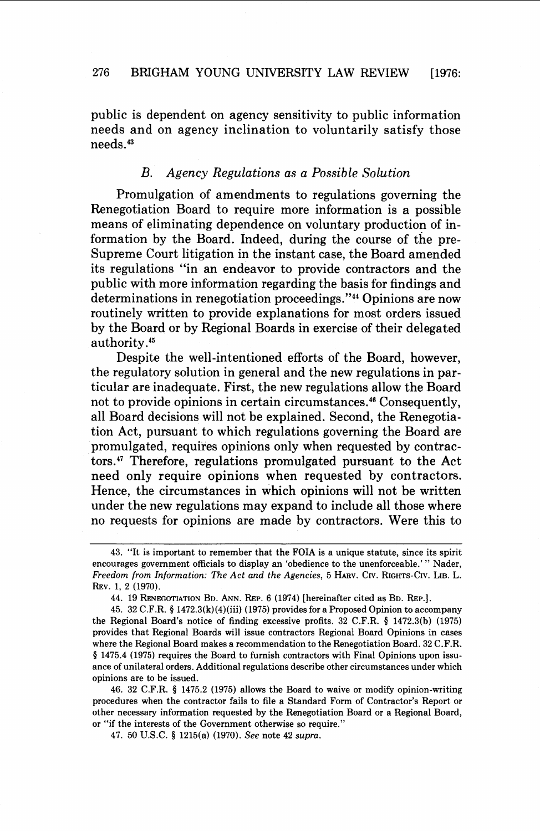# 276 BRIGHAM YOUNG UNIVERSITY LAW REVIEW [1976:

public is dependent on agency sensitivity to public information needs and on agency inclination to voluntarily satisfy those needs.43

# *B. Agency Regulations as a Possible Solution*

Promulgation of amendments to regulations governing the Renegotiation Board to require more information is a possible means of eliminating dependence on voluntary production of information by the Board. Indeed, during the course of the pre-Supreme Court litigation in the instant case, the Board amended its regulations "in an endeavor to provide contractors and the public with more information regarding the basis for findings and determinations in renegotiation proceedings."<sup>44</sup> Opinions are now routinely written to provide explanations for most orders issued by the Board or by Regional Boards in exercise of their delegated authority.<sup>45</sup>

Despite the well-intentioned efforts of the Board, however, the regulatory solution in general and the new regulations in particular are inadequate. First, the new regulations allow the Board not to provide opinions in certain circumstances.<sup>46</sup> Consequently, all Board decisions will not be explained. Second, the Renegotiation Act, pursuant to which regulations governing the Board are promulgated, requires opinions only when requested by contractors.<sup>47</sup> Therefore, regulations promulgated pursuant to the Act need only require opinions when requested by contractors. Hence, the circumstances in which opinions will not be written under the new regulations may expand to include all those where no requests for opinions are made by contractors. Were this to

46. 32 C.F.R. **4** 1475.2 (1975) allows the Board to waive or modify opinion-writing procedures when the contractor fails to file a Standard Form of Contractor's Report or other necessary information requested by the Renegotiation Board or a Regional Board, or "if the interests of the Government otherwise so require."

47. 50 U.S.C. **4** 1215(a) (1970). See note 42 supra.

<sup>43. &</sup>quot;It is important to remember that the FOIA is a unique statute, since its spirit encourages government officials to display an 'obedience to the unenforceable.' " Nader, Freedom from Information: The Act and the Agencies, 5 HARV. CIV. RIGHTS-CIV. LIB. L. REV. 1, 2 (1970).

<sup>44. 19</sup> RENEGOTIATION BD. ANN. REP. 6 (1974) [hereinafter cited as BD. REP.].

<sup>45. 32</sup> C.F.R. **4** 1472.3(k)(4)(iii) (1975) provides for a Proposed Opinion to accompany the Regional Board's notice of finding excessive profits. 32 C.F.R. **4** 1472.3(b) (1975) provides that Regional Boards will issue contractors Regional Board Opinions in cases where the Regional Board makes a recommendation to the Renegotiation Board. 32 C.F.R. § 1475.4 (1975) requires the Board to furnish contractors with Final Opinions upon issuance of unilateral orders. Additional regulations describe other circumstances under which opinions are to be issued.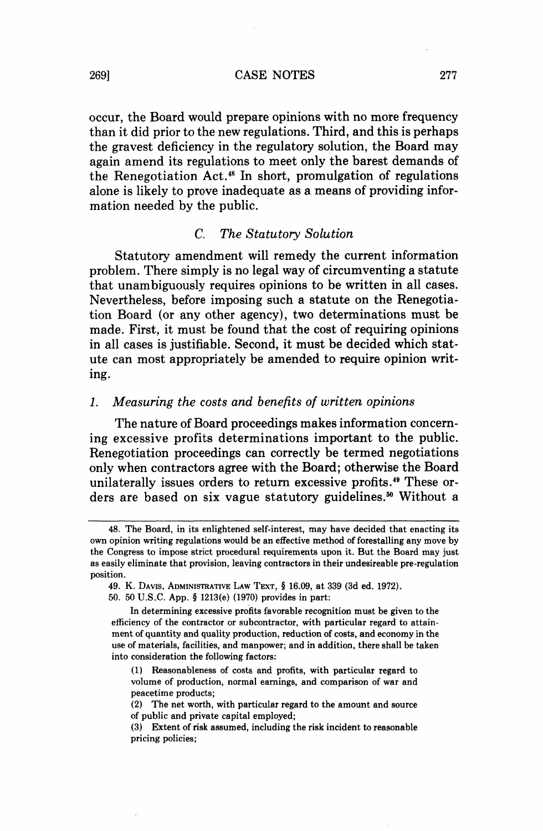2691 **CASE** NOTES **277** 

occur, the Board would prepare opinions with no more frequency than it did prior to the new regulations. Third, and this is perhaps the gravest deficiency in the regulatory solution, the Board may again amend its regulations to meet only the barest demands of the Renegotiation Act.<sup>48</sup> In short, promulgation of regulations alone is likely to prove inadequate as a means of providing information needed by the public.

#### *C. The Statutory Solution*

Statutory amendment will remedy the current information problem. There simply is no legal way of circumventing a statute that unambiguously requires opinions to be written in all cases. Nevertheless, before imposing such a statute on the Renegotiation Board (or any other agency), two determinations must be made. First, it must be found that the cost of requiring opinions in all cases is justifiable. Second, it must be decided which statute can most appropriately be amended to require opinion writing.

## 1. *Measuring the costs and benefits of written opinions*

The nature of Board proceedings makes information concerning excessive profits determinations important to the public. Renegotiation proceedings can correctly be termed negotiations only when contractors agree with the Board; otherwise the Board unilaterally issues orders to return excessive profits.49 These orders are based on six vague statutory guidelines." Without a

<sup>48.</sup> The Board, in its enlightened self-interest, may have decided that enacting its own opinion writing regulations would be an effective method of forestalling any move by the Congress to impose strict procedural requirements upon it. But the Board may just as easily eliminate that provision, leaving contractors in their undesireable pre-regulation position.

<sup>49.</sup> **K.** DAVIS, ADMINISTRATIVE LAW TEXT, **8** 16.09, at 339 (3d ed. 1972).

<sup>50. 50</sup> U.S.C. App. § 1213(e) (1970) provides in part:

In determining excessive profits favorable recognition must be given to the efficiency of the contractor or subcontractor, with particular regard to attainment of quantity and quality production, reduction of costs, and economy in the use of materials, facilities, and manpower; and in addition, there shall be taken into consideration the following factors:

<sup>(1)</sup> Reasonableness of costs and profits, with particular regard to volume of production, normal earnings, and comparison of war and peacetime products;

<sup>(2)</sup> The net worth, with particular regard to the amount and source of public and private capital employed;

<sup>(3)</sup> Extent of risk assumed, including the risk incident to reasonable pricing policies;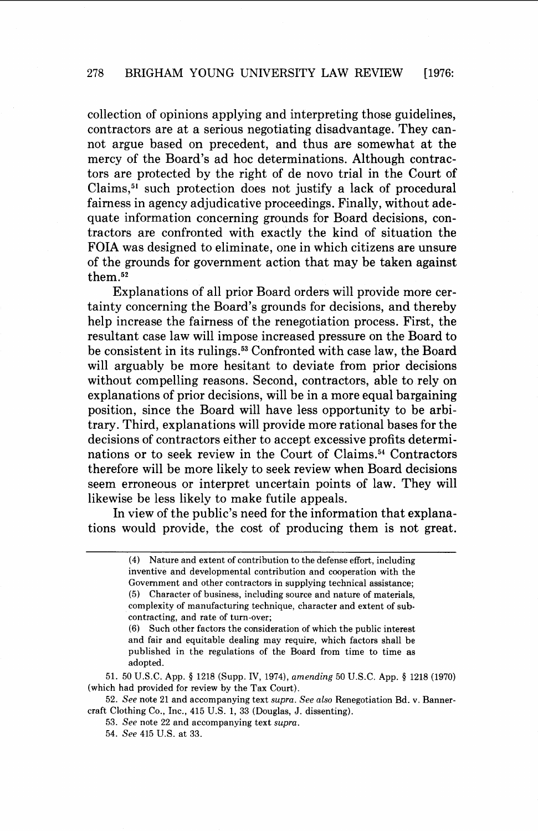collection of opinions applying and interpreting those guidelines, contractors are at a serious negotiating disadvantage. They cannot argue based on precedent, and thus are somewhat at the mercy of the Board's ad hoc determinations. Although contractors are protected by the right of de novo trial in the Court of Claims,<sup>51</sup> such protection does not justify a lack of procedural fairness in agency adjudicative proceedings. Finally, without adequate information concerning grounds for Board decisions, contractors are confronted with exactly the kind of situation the FOIA was designed to eliminate, one in which citizens are unsure of the grounds for government action that may be taken against them.52

Explanations of all prior Board orders will provide more certainty concerning the Board's grounds for decisions, and thereby help increase the fairness of the renegotiation process. First, the resultant case law will impose increased pressure on the Board to be consistent in its rulings.<sup>53</sup> Confronted with case law, the Board will arguably be more hesitant to deviate from prior decisions without compelling reasons. Second, contractors, able to rely on explanations of prior decisions, will be in a more equal bargaining position, since the Board will have less opportunity to be arbitrary. Third, explanations will provide more rational bases for the decisions of contractors either to accept excessive profits determinations or to seek review in the Court of Claims.54 Contractors therefore will be more likely to seek review when Board decisions seem erroneous or interpret uncertain points of law. They will likewise be less likely to make futile appeals.

In view of the public's need for the information that explanations would provide, the cost of producing them is not great.

51. 50 U.S.C. App. **4** 1218 (Supp. IV, 1974), *amending* 50 U.S.C. App. **4** 1218 (1970) (which had provided for review by the Tax Court).

52. *See* note 21 and accompanying text *supra. See* also Renegotiation Bd. v. Bannercraft Clothing Co., Inc., 415 U.S. 1, 33 (Douglas, J. dissenting).

53. *See* note 22 and accompanying text *supra.* 

54. *See* 415 U.S. at 33.

<sup>(4)</sup> Nature and extent of contribution to the defense effort, including inventive and developmental contribution and cooperation with the Government and other contractors in supplying technical assistance; (5) Character of business, including source and nature of materials, complexity of manufacturing technique, character and extent of subcontracting, and rate of turn-over;

<sup>(6)</sup> Such other factors the consideration of which the public interest and fair and equitable dealing may require, which factors shall be published in the regulations of the Board from time to time as adopted.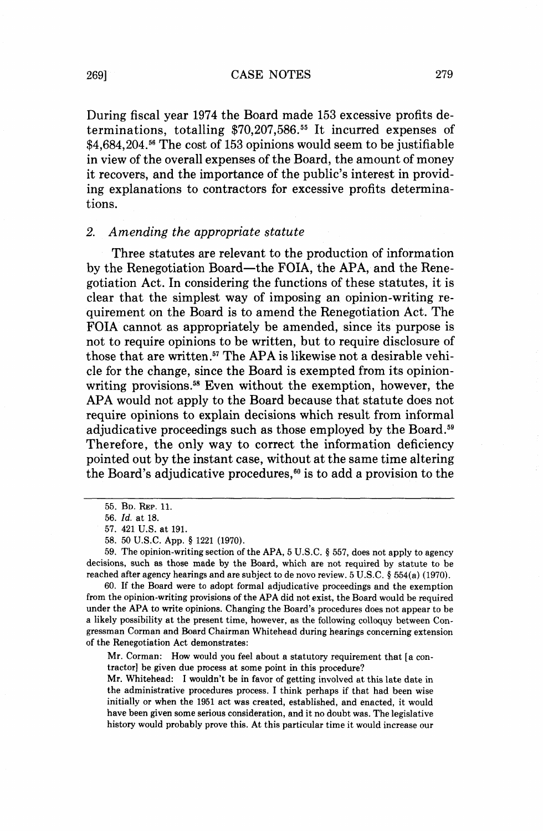2691 **CASE** NOTES **279** 

During fiscal year 1974 the Board made 153 excessive profits determinations, totalling \$70,207,586.<sup>55</sup> It incurred expenses of \$4,684,204.<sup>56</sup> The cost of 153 opinions would seem to be justifiable in view of the overall expenses of the Board, the amount of money it recovers, and the importance of the public's interest in providing explanations to contractors for excessive profits determinations.

### *2. Amending the appropriate statute*

Three statutes are relevant to the production of information by the Renegotiation Board-the FOIA, the APA, and the Renegotiation Act. In considering the functions of these statutes, it is clear that the simplest way of imposing an opinion-writing requirement on the Board is to amend the Renegotiation Act. The FOIA cannot as appropriately be amended, since its purpose is not to require opinions to be written, but to require disclosure of those that are written.<sup>57</sup> The APA is likewise not a desirable vehicle for the change, since the Board is exempted from its opinionwriting provisions.<sup>58</sup> Even without the exemption, however, the APA would not apply to the Board because that statute does not require opinions to explain decisions which result from informal adjudicative proceedings such as those employed by the Board.<sup>59</sup> Therefore, the only way to correct the information deficiency pointed out by the instant case, without at the same time altering the Board's adjudicative procedures, $60$  is to add a provision to the

58. 50 U.S.C. App. § 1221 (1970).

59. The opinion-writing section of the APA, 5 U.S.C. § 557, does not apply to agency decisions, such as those made by the Board, which are not required by statute to be reached after agency hearings and are subject to de novo review.  $5 \text{ U.S.C.}$   $§$   $554(a)$  (1970).

60. If the Board were to adopt formal adjudicative proceedings and the exemption from the opinion-writing provisions of the APA did not exist, the Board would be required under the APA to write opinions. Changing the Board's procedures does not appear to be a likely possibility at the present time, however, as the following colloquy between Congressman Corman and Board Chairman Whitehead during hearings concerning extension of the Renegotiation Act demonstrates:

Mr. Corman: How would you feel about a statutory requirement that [a contractor] be given due process at some point in this procedure?

Mr. Whitehead: I wouldn't be in favor of getting involved at this late date in the administrative procedures process. I think perhaps if that had been wise initially or when the 1951 act was created, established, and enacted, it would have been given some serious consideration, and it no doubt was. The legislative history would probably prove this. At this particular time it would increase our

<sup>55.</sup> BD. **REP.** 11.

<sup>56.</sup> Id. at 18.

<sup>57. 421</sup> U.S. at 191.